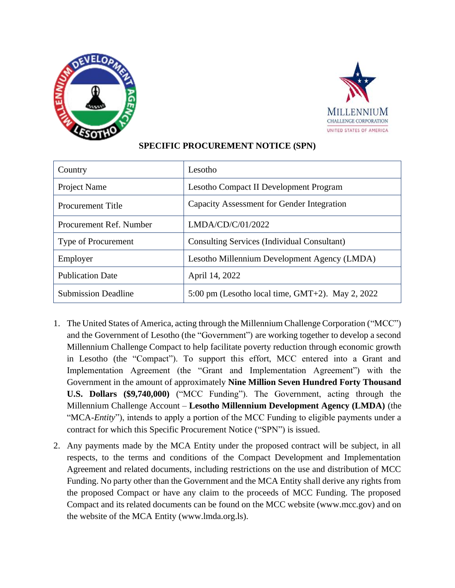



## **SPECIFIC PROCUREMENT NOTICE (SPN)**

| Country                    | Lesotho                                                    |
|----------------------------|------------------------------------------------------------|
| Project Name               | Lesotho Compact II Development Program                     |
| <b>Procurement Title</b>   | Capacity Assessment for Gender Integration                 |
| Procurement Ref. Number    | LMDA/CD/C/01/2022                                          |
| Type of Procurement        | Consulting Services (Individual Consultant)                |
| Employer                   | Lesotho Millennium Development Agency (LMDA)               |
| <b>Publication Date</b>    | April 14, 2022                                             |
| <b>Submission Deadline</b> | $5:00 \text{ pm}$ (Lesotho local time, GMT+2). May 2, 2022 |

- 1. The United States of America, acting through the Millennium Challenge Corporation ("MCC") and the Government of Lesotho (the "Government") are working together to develop a second Millennium Challenge Compact to help facilitate poverty reduction through economic growth in Lesotho (the "Compact"). To support this effort, MCC entered into a Grant and Implementation Agreement (the "Grant and Implementation Agreement") with the Government in the amount of approximately **Nine Million Seven Hundred Forty Thousand U.S. Dollars (\$9,740,000)** ("MCC Funding"). The Government, acting through the Millennium Challenge Account – **Lesotho Millennium Development Agency (LMDA)** (the "MCA-*Entity*"), intends to apply a portion of the MCC Funding to eligible payments under a contract for which this Specific Procurement Notice ("SPN") is issued.
- 2. Any payments made by the MCA Entity under the proposed contract will be subject, in all respects, to the terms and conditions of the Compact Development and Implementation Agreement and related documents, including restrictions on the use and distribution of MCC Funding. No party other than the Government and the MCA Entity shall derive any rights from the proposed Compact or have any claim to the proceeds of MCC Funding. The proposed Compact and its related documents can be found on the MCC website (www.mcc.gov) and on the website of the MCA Entity (www.lmda.org.ls).